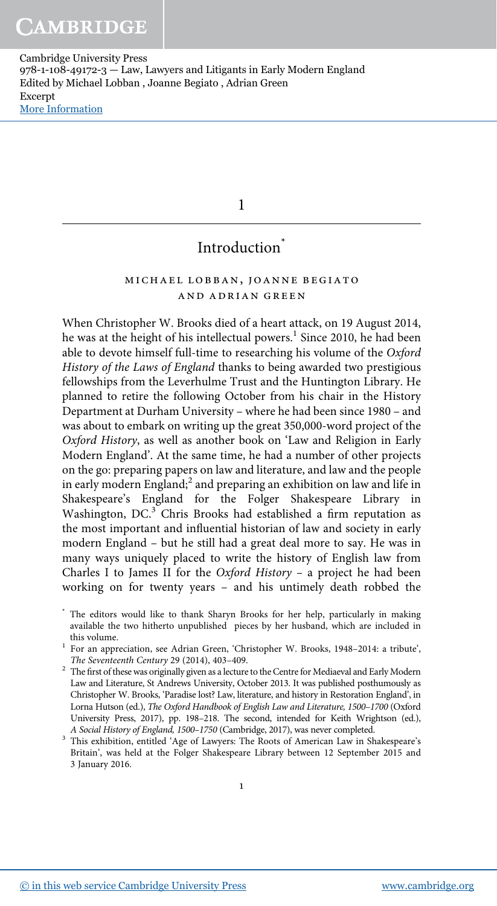1

# Introduction<sup>\*</sup>

# michael lobban, joanne begiato and adrian green

When Christopher W. Brooks died of a heart attack, on 19 August 2014, he was at the height of his intellectual powers.<sup>1</sup> Since 2010, he had been able to devote himself full-time to researching his volume of the Oxford History of the Laws of England thanks to being awarded two prestigious fellowships from the Leverhulme Trust and the Huntington Library. He planned to retire the following October from his chair in the History Department at Durham University – where he had been since 1980 – and was about to embark on writing up the great 350,000-word project of the Oxford History, as well as another book on 'Law and Religion in Early Modern England'. At the same time, he had a number of other projects on the go: preparing papers on law and literature, and law and the people in early modern England;<sup>2</sup> and preparing an exhibition on law and life in Shakespeare's England for the Folger Shakespeare Library in Washington, DC.<sup>3</sup> Chris Brooks had established a firm reputation as the most important and influential historian of law and society in early modern England – but he still had a great deal more to say. He was in many ways uniquely placed to write the history of English law from Charles I to James II for the Oxford History – a project he had been working on for twenty years – and his untimely death robbed the

\* The editors would like to thank Sharyn Brooks for her help, particularly in making available the two hitherto unpublished pieces by her husband, which are included in this volume.

<sup>1</sup> For an appreciation, see Adrian Green, 'Christopher W. Brooks, 1948-2014: a tribute', The Seventeenth Century 29 (2014), 403–409.

 $2$  The first of these was originally given as a lecture to the Centre for Mediaeval and Early Modern Law and Literature, St Andrews University, October 2013. It was published posthumously as Christopher W. Brooks, 'Paradise lost? Law, literature, and history in Restoration England', in Lorna Hutson (ed.), The Oxford Handbook of English Law and Literature, 1500–1700 (Oxford University Press, 2017), pp. 198–218. The second, intended for Keith Wrightson (ed.), A Social History of England, 1500–1750 (Cambridge, 2017), was never completed.

<sup>3</sup> This exhibition, entitled 'Age of Lawyers: The Roots of American Law in Shakespeare's Britain', was held at the Folger Shakespeare Library between 12 September 2015 and 3 January 2016.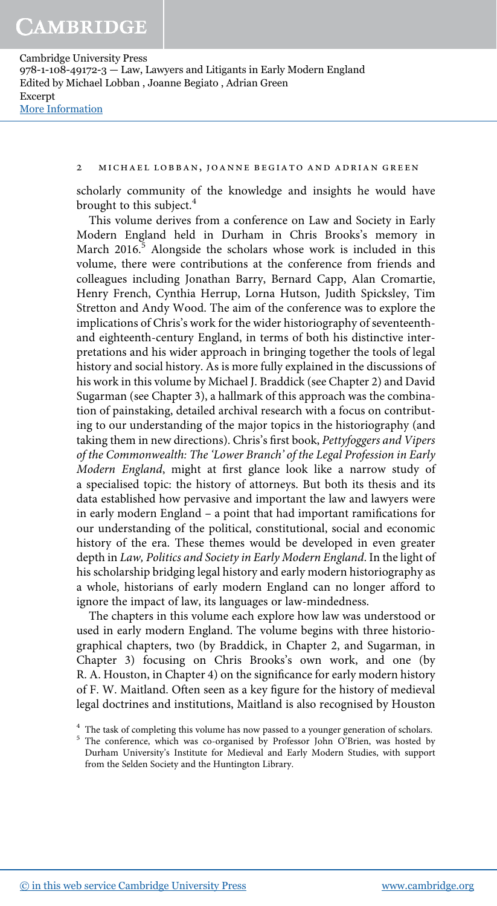## 2 michael lobban, joanne begiato and adrian green

scholarly community of the knowledge and insights he would have brought to this subject.<sup>4</sup>

This volume derives from a conference on Law and Society in Early Modern England held in Durham in Chris Brooks's memory in March 2016. $\frac{5}{5}$  Alongside the scholars whose work is included in this volume, there were contributions at the conference from friends and colleagues including Jonathan Barry, Bernard Capp, Alan Cromartie, Henry French, Cynthia Herrup, Lorna Hutson, Judith Spicksley, Tim Stretton and Andy Wood. The aim of the conference was to explore the implications of Chris's work for the wider historiography of seventeenthand eighteenth-century England, in terms of both his distinctive interpretations and his wider approach in bringing together the tools of legal history and social history. As is more fully explained in the discussions of his work in this volume by Michael J. Braddick (see Chapter 2) and David Sugarman (see Chapter 3), a hallmark of this approach was the combination of painstaking, detailed archival research with a focus on contributing to our understanding of the major topics in the historiography (and taking them in new directions). Chris's first book, Pettyfoggers and Vipers of the Commonwealth: The 'Lower Branch' of the Legal Profession in Early Modern England, might at first glance look like a narrow study of a specialised topic: the history of attorneys. But both its thesis and its data established how pervasive and important the law and lawyers were in early modern England – a point that had important ramifications for our understanding of the political, constitutional, social and economic history of the era. These themes would be developed in even greater depth in Law, Politics and Society in Early Modern England. In the light of his scholarship bridging legal history and early modern historiography as a whole, historians of early modern England can no longer afford to ignore the impact of law, its languages or law-mindedness.

The chapters in this volume each explore how law was understood or used in early modern England. The volume begins with three historiographical chapters, two (by Braddick, in Chapter 2, and Sugarman, in Chapter 3) focusing on Chris Brooks's own work, and one (by R. A. Houston, in Chapter 4) on the significance for early modern history of F. W. Maitland. Often seen as a key figure for the history of medieval legal doctrines and institutions, Maitland is also recognised by Houston

<sup>&</sup>lt;sup>4</sup> The task of completing this volume has now passed to a younger generation of scholars.

<sup>&</sup>lt;sup>5</sup> The conference, which was co-organised by Professor John O'Brien, was hosted by Durham University's Institute for Medieval and Early Modern Studies, with support from the Selden Society and the Huntington Library.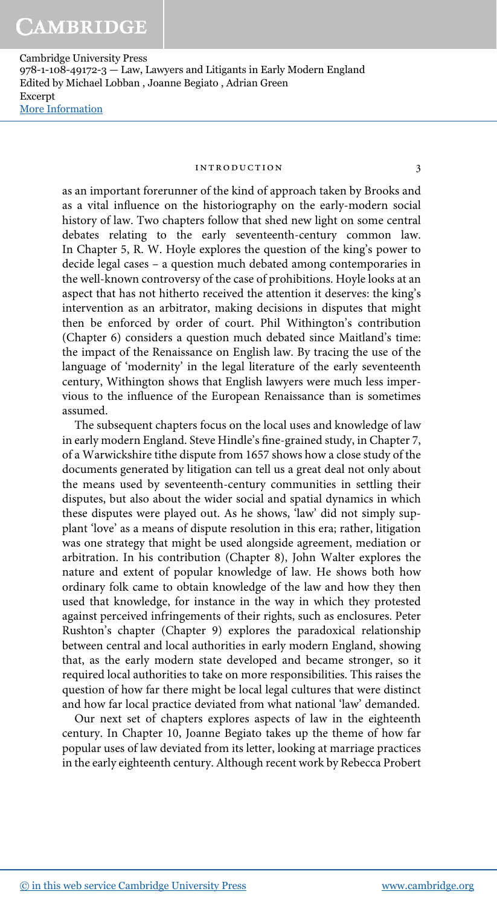#### introduction 3

as an important forerunner of the kind of approach taken by Brooks and as a vital influence on the historiography on the early-modern social history of law. Two chapters follow that shed new light on some central debates relating to the early seventeenth-century common law. In Chapter 5, R. W. Hoyle explores the question of the king's power to decide legal cases – a question much debated among contemporaries in the well-known controversy of the case of prohibitions. Hoyle looks at an aspect that has not hitherto received the attention it deserves: the king's intervention as an arbitrator, making decisions in disputes that might then be enforced by order of court. Phil Withington's contribution (Chapter 6) considers a question much debated since Maitland's time: the impact of the Renaissance on English law. By tracing the use of the language of 'modernity' in the legal literature of the early seventeenth century, Withington shows that English lawyers were much less impervious to the influence of the European Renaissance than is sometimes assumed.

The subsequent chapters focus on the local uses and knowledge of law in early modern England. Steve Hindle's fine-grained study, in Chapter 7, of a Warwickshire tithe dispute from 1657 shows how a close study of the documents generated by litigation can tell us a great deal not only about the means used by seventeenth-century communities in settling their disputes, but also about the wider social and spatial dynamics in which these disputes were played out. As he shows, 'law' did not simply supplant 'love' as a means of dispute resolution in this era; rather, litigation was one strategy that might be used alongside agreement, mediation or arbitration. In his contribution (Chapter 8), John Walter explores the nature and extent of popular knowledge of law. He shows both how ordinary folk came to obtain knowledge of the law and how they then used that knowledge, for instance in the way in which they protested against perceived infringements of their rights, such as enclosures. Peter Rushton's chapter (Chapter 9) explores the paradoxical relationship between central and local authorities in early modern England, showing that, as the early modern state developed and became stronger, so it required local authorities to take on more responsibilities. This raises the question of how far there might be local legal cultures that were distinct and how far local practice deviated from what national 'law' demanded.

Our next set of chapters explores aspects of law in the eighteenth century. In Chapter 10, Joanne Begiato takes up the theme of how far popular uses of law deviated from its letter, looking at marriage practices in the early eighteenth century. Although recent work by Rebecca Probert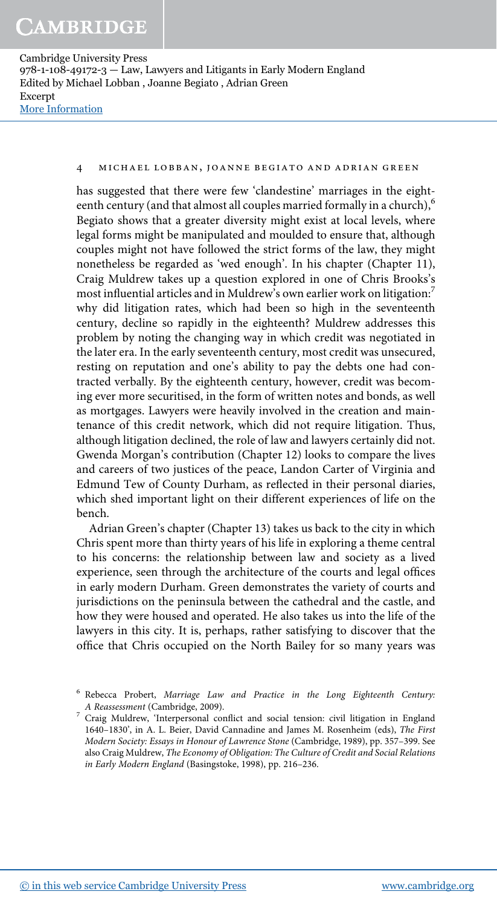#### 4 michael lobban, joanne begiato and adrian green

has suggested that there were few 'clandestine' marriages in the eighteenth century (and that almost all couples married formally in a church),<sup>6</sup> Begiato shows that a greater diversity might exist at local levels, where legal forms might be manipulated and moulded to ensure that, although couples might not have followed the strict forms of the law, they might nonetheless be regarded as 'wed enough'. In his chapter (Chapter 11), Craig Muldrew takes up a question explored in one of Chris Brooks's most influential articles and in Muldrew's own earlier work on litigation:<sup>7</sup> why did litigation rates, which had been so high in the seventeenth century, decline so rapidly in the eighteenth? Muldrew addresses this problem by noting the changing way in which credit was negotiated in the later era. In the early seventeenth century, most credit was unsecured, resting on reputation and one's ability to pay the debts one had contracted verbally. By the eighteenth century, however, credit was becoming ever more securitised, in the form of written notes and bonds, as well as mortgages. Lawyers were heavily involved in the creation and maintenance of this credit network, which did not require litigation. Thus, although litigation declined, the role of law and lawyers certainly did not. Gwenda Morgan's contribution (Chapter 12) looks to compare the lives and careers of two justices of the peace, Landon Carter of Virginia and Edmund Tew of County Durham, as reflected in their personal diaries, which shed important light on their different experiences of life on the bench.

Adrian Green's chapter (Chapter 13) takes us back to the city in which Chris spent more than thirty years of his life in exploring a theme central to his concerns: the relationship between law and society as a lived experience, seen through the architecture of the courts and legal offices in early modern Durham. Green demonstrates the variety of courts and jurisdictions on the peninsula between the cathedral and the castle, and how they were housed and operated. He also takes us into the life of the lawyers in this city. It is, perhaps, rather satisfying to discover that the office that Chris occupied on the North Bailey for so many years was

<sup>&</sup>lt;sup>6</sup> Rebecca Probert, Marriage Law and Practice in the Long Eighteenth Century: A Reassessment (Cambridge, 2009).

<sup>7</sup> Craig Muldrew, 'Interpersonal conflict and social tension: civil litigation in England 1640–1830', in A. L. Beier, David Cannadine and James M. Rosenheim (eds), The First Modern Society: Essays in Honour of Lawrence Stone (Cambridge, 1989), pp. 357–399. See also Craig Muldrew, The Economy of Obligation: The Culture of Credit and Social Relations in Early Modern England (Basingstoke, 1998), pp. 216–236.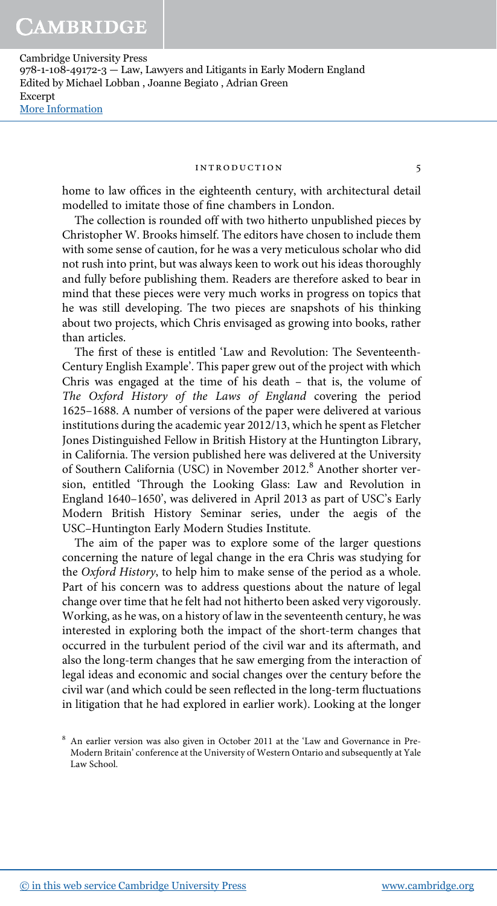#### introduction 5

home to law offices in the eighteenth century, with architectural detail modelled to imitate those of fine chambers in London.

The collection is rounded off with two hitherto unpublished pieces by Christopher W. Brooks himself. The editors have chosen to include them with some sense of caution, for he was a very meticulous scholar who did not rush into print, but was always keen to work out his ideas thoroughly and fully before publishing them. Readers are therefore asked to bear in mind that these pieces were very much works in progress on topics that he was still developing. The two pieces are snapshots of his thinking about two projects, which Chris envisaged as growing into books, rather than articles.

The first of these is entitled 'Law and Revolution: The Seventeenth-Century English Example'. This paper grew out of the project with which Chris was engaged at the time of his death – that is, the volume of The Oxford History of the Laws of England covering the period 1625–1688. A number of versions of the paper were delivered at various institutions during the academic year 2012/13, which he spent as Fletcher Jones Distinguished Fellow in British History at the Huntington Library, in California. The version published here was delivered at the University of Southern California (USC) in November 2012.<sup>8</sup> Another shorter version, entitled 'Through the Looking Glass: Law and Revolution in England 1640–1650', was delivered in April 2013 as part of USC's Early Modern British History Seminar series, under the aegis of the USC–Huntington Early Modern Studies Institute.

The aim of the paper was to explore some of the larger questions concerning the nature of legal change in the era Chris was studying for the Oxford History, to help him to make sense of the period as a whole. Part of his concern was to address questions about the nature of legal change over time that he felt had not hitherto been asked very vigorously. Working, as he was, on a history of law in the seventeenth century, he was interested in exploring both the impact of the short-term changes that occurred in the turbulent period of the civil war and its aftermath, and also the long-term changes that he saw emerging from the interaction of legal ideas and economic and social changes over the century before the civil war (and which could be seen reflected in the long-term fluctuations in litigation that he had explored in earlier work). Looking at the longer

<sup>8</sup> An earlier version was also given in October 2011 at the 'Law and Governance in Pre-Modern Britain' conference at the University of Western Ontario and subsequently at Yale Law School.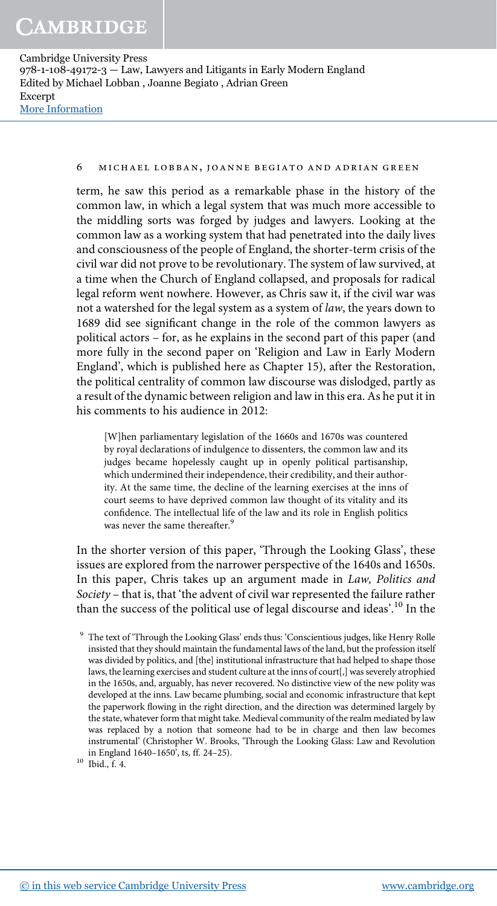# 6 michael lobban, joanne begiato and adrian green

term, he saw this period as a remarkable phase in the history of the common law, in which a legal system that was much more accessible to the middling sorts was forged by judges and lawyers. Looking at the common law as a working system that had penetrated into the daily lives and consciousness of the people of England, the shorter-term crisis of the civil war did not prove to be revolutionary. The system of law survived, at a time when the Church of England collapsed, and proposals for radical legal reform went nowhere. However, as Chris saw it, if the civil war was not a watershed for the legal system as a system of law, the years down to 1689 did see significant change in the role of the common lawyers as political actors – for, as he explains in the second part of this paper (and more fully in the second paper on 'Religion and Law in Early Modern England', which is published here as Chapter 15), after the Restoration, the political centrality of common law discourse was dislodged, partly as a result of the dynamic between religion and law in this era. As he put it in his comments to his audience in 2012:

[W]hen parliamentary legislation of the 1660s and 1670s was countered by royal declarations of indulgence to dissenters, the common law and its judges became hopelessly caught up in openly political partisanship, which undermined their independence, their credibility, and their authority. At the same time, the decline of the learning exercises at the inns of court seems to have deprived common law thought of its vitality and its confidence. The intellectual life of the law and its role in English politics was never the same thereafter.<sup>9</sup>

In the shorter version of this paper, 'Through the Looking Glass', these issues are explored from the narrower perspective of the 1640s and 1650s. In this paper, Chris takes up an argument made in Law, Politics and Society – that is, that 'the advent of civil war represented the failure rather than the success of the political use of legal discourse and ideas'.<sup>10</sup> In the

<sup>&</sup>lt;sup>9</sup> The text of 'Through the Looking Glass' ends thus: 'Conscientious judges, like Henry Rolle insisted that they should maintain the fundamental laws of the land, but the profession itself was divided by politics, and [the] institutional infrastructure that had helped to shape those laws, the learning exercises and student culture at the inns of court[,] was severely atrophied in the 1650s, and, arguably, has never recovered. No distinctive view of the new polity was developed at the inns. Law became plumbing, social and economic infrastructure that kept the paperwork flowing in the right direction, and the direction was determined largely by the state, whatever form that might take. Medieval community of the realm mediated by law was replaced by a notion that someone had to be in charge and then law becomes instrumental' (Christopher W. Brooks, 'Through the Looking Glass: Law and Revolution in England 1640–1650', ts, ff. 24–25).

 $10$  Ibid., f. 4.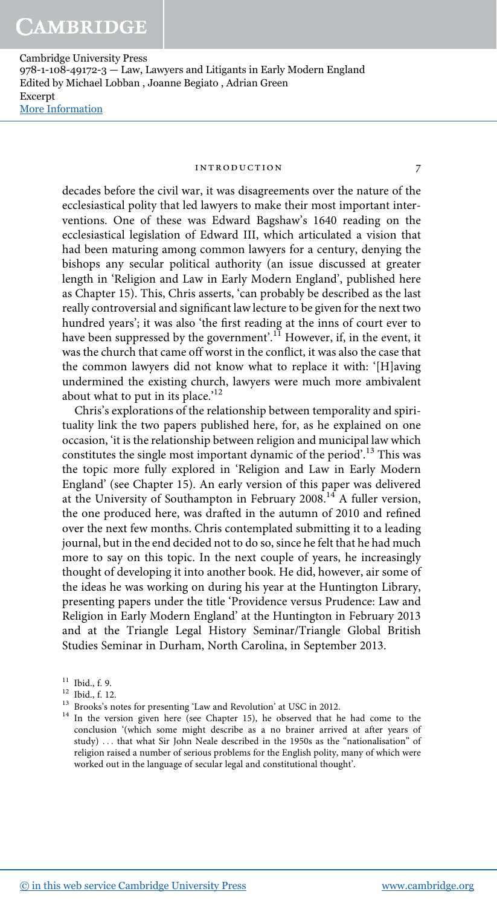#### introduction 7

decades before the civil war, it was disagreements over the nature of the ecclesiastical polity that led lawyers to make their most important interventions. One of these was Edward Bagshaw's 1640 reading on the ecclesiastical legislation of Edward III, which articulated a vision that had been maturing among common lawyers for a century, denying the bishops any secular political authority (an issue discussed at greater length in 'Religion and Law in Early Modern England', published here as Chapter 15). This, Chris asserts, 'can probably be described as the last really controversial and significant law lecture to be given for the next two hundred years'; it was also 'the first reading at the inns of court ever to have been suppressed by the government'.<sup>11</sup> However, if, in the event, it was the church that came off worst in the conflict, it was also the case that the common lawyers did not know what to replace it with: '[H]aving undermined the existing church, lawyers were much more ambivalent about what to put in its place.'<sup>12</sup>

Chris's explorations of the relationship between temporality and spirituality link the two papers published here, for, as he explained on one occasion, 'it is the relationship between religion and municipal law which constitutes the single most important dynamic of the period'. <sup>13</sup> This was the topic more fully explored in 'Religion and Law in Early Modern England' (see Chapter 15). An early version of this paper was delivered at the University of Southampton in February 2008.<sup>14</sup> A fuller version, the one produced here, was drafted in the autumn of 2010 and refined over the next few months. Chris contemplated submitting it to a leading journal, but in the end decided not to do so, since he felt that he had much more to say on this topic. In the next couple of years, he increasingly thought of developing it into another book. He did, however, air some of the ideas he was working on during his year at the Huntington Library, presenting papers under the title 'Providence versus Prudence: Law and Religion in Early Modern England' at the Huntington in February 2013 and at the Triangle Legal History Seminar/Triangle Global British Studies Seminar in Durham, North Carolina, in September 2013.

<sup>11</sup> Ibid., f. 9.

 $12$  Ibid., f. 12.

<sup>13</sup> Brooks's notes for presenting 'Law and Revolution' at USC in 2012.

<sup>&</sup>lt;sup>14</sup> In the version given here (see Chapter 15), he observed that he had come to the conclusion '(which some might describe as a no brainer arrived at after years of study) ... that what Sir John Neale described in the 1950s as the "nationalisation" of religion raised a number of serious problems for the English polity, many of which were worked out in the language of secular legal and constitutional thought'.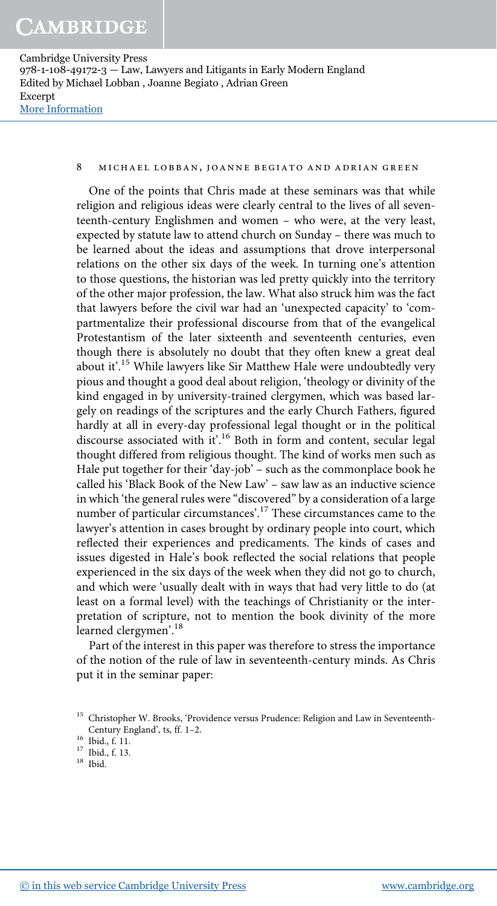## 8 michael lobban, joanne begiato and adrian green

One of the points that Chris made at these seminars was that while religion and religious ideas were clearly central to the lives of all seventeenth-century Englishmen and women – who were, at the very least, expected by statute law to attend church on Sunday – there was much to be learned about the ideas and assumptions that drove interpersonal relations on the other six days of the week. In turning one's attention to those questions, the historian was led pretty quickly into the territory of the other major profession, the law. What also struck him was the fact that lawyers before the civil war had an 'unexpected capacity' to 'compartmentalize their professional discourse from that of the evangelical Protestantism of the later sixteenth and seventeenth centuries, even though there is absolutely no doubt that they often knew a great deal about it'.<sup>15</sup> While lawyers like Sir Matthew Hale were undoubtedly very pious and thought a good deal about religion, 'theology or divinity of the kind engaged in by university-trained clergymen, which was based largely on readings of the scriptures and the early Church Fathers, figured hardly at all in every-day professional legal thought or in the political discourse associated with it'. <sup>16</sup> Both in form and content, secular legal thought differed from religious thought. The kind of works men such as Hale put together for their 'day-job' – such as the commonplace book he called his 'Black Book of the New Law' – saw law as an inductive science in which 'the general rules were "discovered" by a consideration of a large number of particular circumstances'. <sup>17</sup> These circumstances came to the lawyer's attention in cases brought by ordinary people into court, which reflected their experiences and predicaments. The kinds of cases and issues digested in Hale's book reflected the social relations that people experienced in the six days of the week when they did not go to church, and which were 'usually dealt with in ways that had very little to do (at least on a formal level) with the teachings of Christianity or the interpretation of scripture, not to mention the book divinity of the more learned clergymen'.<sup>18</sup>

Part of the interest in this paper was therefore to stress the importance of the notion of the rule of law in seventeenth-century minds. As Chris put it in the seminar paper:

<sup>&</sup>lt;sup>15</sup> Christopher W. Brooks, 'Providence versus Prudence: Religion and Law in Seventeenth-Century England', ts, ff. 1–2.

<sup>16</sup> Ibid., f. 11.

<sup>17</sup> Ibid., f. 13.

 $^{18}$  Ibid.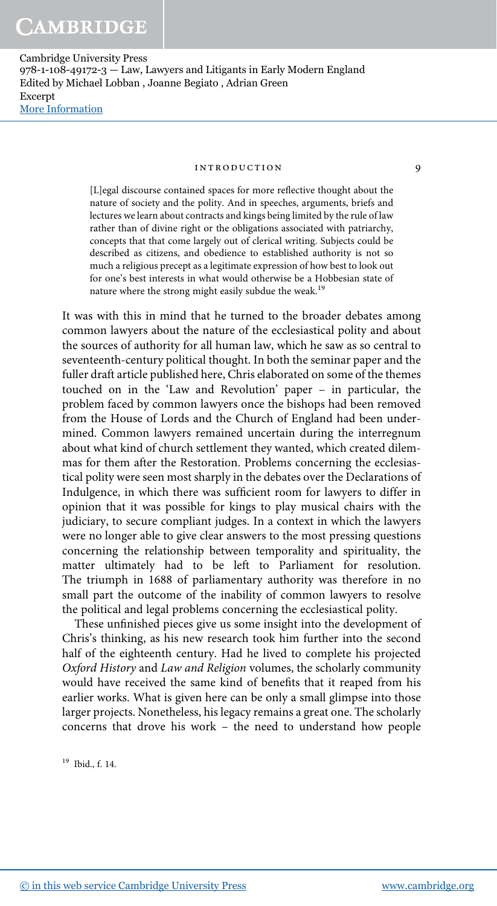#### introduction 9

[L]egal discourse contained spaces for more reflective thought about the nature of society and the polity. And in speeches, arguments, briefs and lectures we learn about contracts and kings being limited by the rule of law rather than of divine right or the obligations associated with patriarchy, concepts that that come largely out of clerical writing. Subjects could be described as citizens, and obedience to established authority is not so much a religious precept as a legitimate expression of how best to look out for one's best interests in what would otherwise be a Hobbesian state of nature where the strong might easily subdue the weak.<sup>19</sup>

It was with this in mind that he turned to the broader debates among common lawyers about the nature of the ecclesiastical polity and about the sources of authority for all human law, which he saw as so central to seventeenth-century political thought. In both the seminar paper and the fuller draft article published here, Chris elaborated on some of the themes touched on in the 'Law and Revolution' paper – in particular, the problem faced by common lawyers once the bishops had been removed from the House of Lords and the Church of England had been undermined. Common lawyers remained uncertain during the interregnum about what kind of church settlement they wanted, which created dilemmas for them after the Restoration. Problems concerning the ecclesiastical polity were seen most sharply in the debates over the Declarations of Indulgence, in which there was sufficient room for lawyers to differ in opinion that it was possible for kings to play musical chairs with the judiciary, to secure compliant judges. In a context in which the lawyers were no longer able to give clear answers to the most pressing questions concerning the relationship between temporality and spirituality, the matter ultimately had to be left to Parliament for resolution. The triumph in 1688 of parliamentary authority was therefore in no small part the outcome of the inability of common lawyers to resolve the political and legal problems concerning the ecclesiastical polity.

These unfinished pieces give us some insight into the development of Chris's thinking, as his new research took him further into the second half of the eighteenth century. Had he lived to complete his projected Oxford History and Law and Religion volumes, the scholarly community would have received the same kind of benefits that it reaped from his earlier works. What is given here can be only a small glimpse into those larger projects. Nonetheless, his legacy remains a great one. The scholarly concerns that drove his work – the need to understand how people

<sup>19</sup> Ibid., f. 14.